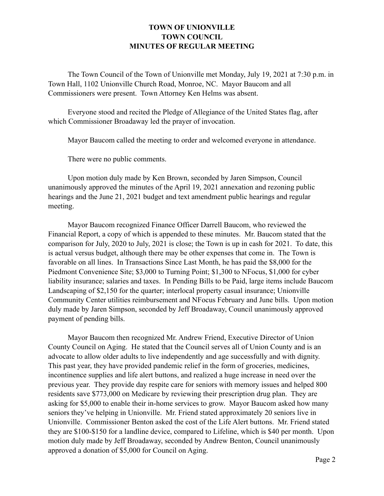## **TOWN OF UNIONVILLE TOWN COUNCIL MINUTES OF REGULAR MEETING**

 The Town Council of the Town of Unionville met Monday, July 19, 2021 at 7:30 p.m. in Town Hall, 1102 Unionville Church Road, Monroe, NC. Mayor Baucom and all Commissioners were present. Town Attorney Ken Helms was absent.

 Everyone stood and recited the Pledge of Allegiance of the United States flag, after which Commissioner Broadaway led the prayer of invocation.

Mayor Baucom called the meeting to order and welcomed everyone in attendance.

There were no public comments.

 Upon motion duly made by Ken Brown, seconded by Jaren Simpson, Council unanimously approved the minutes of the April 19, 2021 annexation and rezoning public hearings and the June 21, 2021 budget and text amendment public hearings and regular meeting.

 Mayor Baucom recognized Finance Officer Darrell Baucom, who reviewed the Financial Report, a copy of which is appended to these minutes. Mr. Baucom stated that the comparison for July, 2020 to July, 2021 is close; the Town is up in cash for 2021. To date, this is actual versus budget, although there may be other expenses that come in. The Town is favorable on all lines. In Transactions Since Last Month, he has paid the \$8,000 for the Piedmont Convenience Site; \$3,000 to Turning Point; \$1,300 to NFocus, \$1,000 for cyber liability insurance; salaries and taxes. In Pending Bills to be Paid, large items include Baucom Landscaping of \$2,150 for the quarter; interlocal property casual insurance; Unionville Community Center utilities reimbursement and NFocus February and June bills. Upon motion duly made by Jaren Simpson, seconded by Jeff Broadaway, Council unanimously approved payment of pending bills.

 Mayor Baucom then recognized Mr. Andrew Friend, Executive Director of Union County Council on Aging. He stated that the Council serves all of Union County and is an advocate to allow older adults to live independently and age successfully and with dignity. This past year, they have provided pandemic relief in the form of groceries, medicines, incontinence supplies and life alert buttons, and realized a huge increase in need over the previous year. They provide day respite care for seniors with memory issues and helped 800 residents save \$773,000 on Medicare by reviewing their prescription drug plan. They are asking for \$5,000 to enable their in-home services to grow. Mayor Baucom asked how many seniors they've helping in Unionville. Mr. Friend stated approximately 20 seniors live in Unionville. Commissioner Benton asked the cost of the Life Alert buttons. Mr. Friend stated they are \$100-\$150 for a landline device, compared to Lifeline, which is \$40 per month. Upon motion duly made by Jeff Broadaway, seconded by Andrew Benton, Council unanimously approved a donation of \$5,000 for Council on Aging.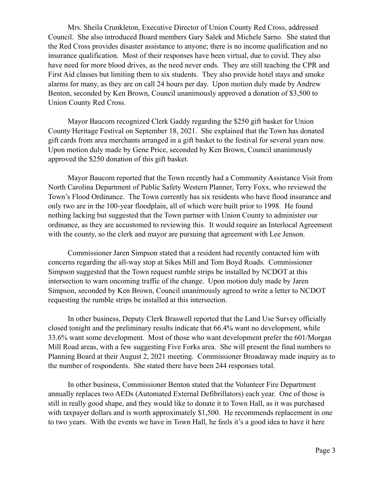Mrs. Sheila Crunkleton, Executive Director of Union County Red Cross, addressed Council. She also introduced Board members Gary Salek and Michele Sarno. She stated that the Red Cross provides disaster assistance to anyone; there is no income qualification and no insurance qualification. Most of their responses have been virtual, due to covid. They also have need for more blood drives, as the need never ends. They are still teaching the CPR and First Aid classes but limiting them to six students. They also provide hotel stays and smoke alarms for many, as they are on call 24 hours per day. Upon motion duly made by Andrew Benton, seconded by Ken Brown, Council unanimously approved a donation of \$3,500 to Union County Red Cross.

 Mayor Baucom recognized Clerk Gaddy regarding the \$250 gift basket for Union County Heritage Festival on September 18, 2021. She explained that the Town has donated gift cards from area merchants arranged in a gift basket to the festival for several years now. Upon motion duly made by Gene Price, seconded by Ken Brown, Council unanimously approved the \$250 donation of this gift basket.

 Mayor Baucom reported that the Town recently had a Community Assistance Visit from North Carolina Department of Public Safety Western Planner, Terry Foxx, who reviewed the Town's Flood Ordinance. The Town currently has six residents who have flood insurance and only two are in the 100-year floodplain, all of which were built prior to 1998. He found nothing lacking but suggested that the Town partner with Union County to administer our ordinance, as they are accustomed to reviewing this. It would require an Interlocal Agreement with the county, so the clerk and mayor are pursuing that agreement with Lee Jenson.

 Commissioner Jaren Simpson stated that a resident had recently contacted him with concerns regarding the all-way stop at Sikes Mill and Tom Boyd Roads. Commissioner Simpson suggested that the Town request rumble strips be installed by NCDOT at this intersection to warn oncoming traffic of the change. Upon motion duly made by Jaren Simpson, seconded by Ken Brown, Council unanimously agreed to write a letter to NCDOT requesting the rumble strips be installed at this intersection.

 In other business, Deputy Clerk Braswell reported that the Land Use Survey officially closed tonight and the preliminary results indicate that 66.4% want no development, while 33.6% want some development. Most of those who want development prefer the 601/Morgan Mill Road areas, with a few suggesting Five Forks area. She will present the final numbers to Planning Board at their August 2, 2021 meeting. Commissioner Broadaway made inquiry as to the number of respondents. She stated there have been 244 responses total.

 In other business, Commissioner Benton stated that the Volunteer Fire Department annually replaces two AEDs (Automated External Defibrillators) each year. One of those is still in really good shape, and they would like to donate it to Town Hall, as it was purchased with taxpayer dollars and is worth approximately \$1,500. He recommends replacement in one to two years. With the events we have in Town Hall, he feels it's a good idea to have it here